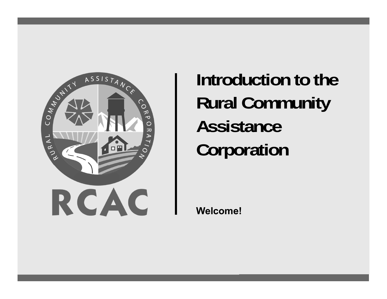

**Introduction to the Rural Community Assistance Corporation**

**Welcome!**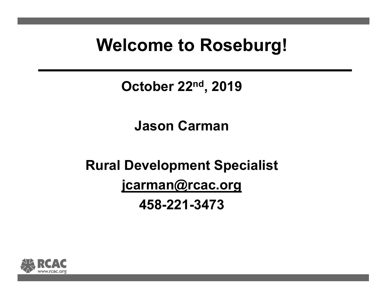## **Welcome to Roseburg!**

**October 22nd, 2019**

#### **Jason Carman**

## **Rural Development Specialist jcarman@rcac.org 458-221-3473**

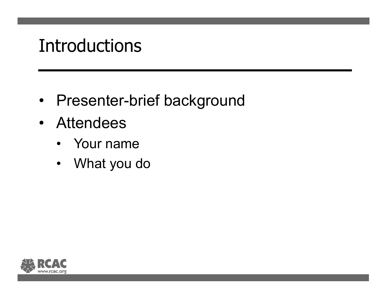# Introductions

- •Presenter-brief background
- Attendees
	- Your name
	- $\bullet$ What you do

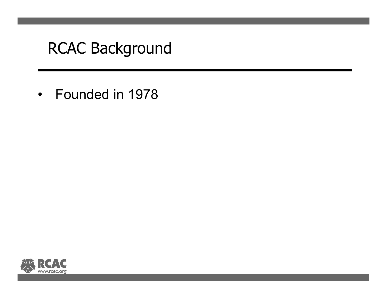• Founded in 1978

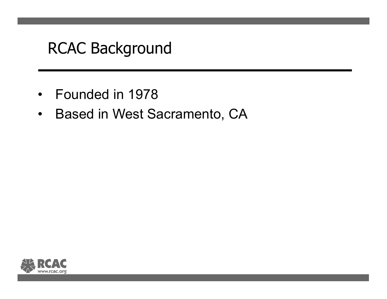- Founded in 1978
- Based in West Sacramento, CA

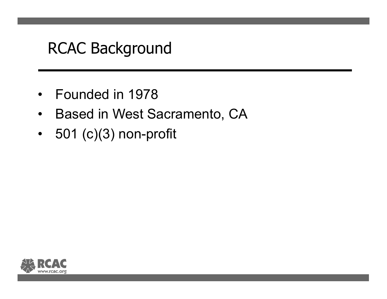- Founded in 1978
- $\bullet$ Based in West Sacramento, CA
- 501 (c)(3) non-profit

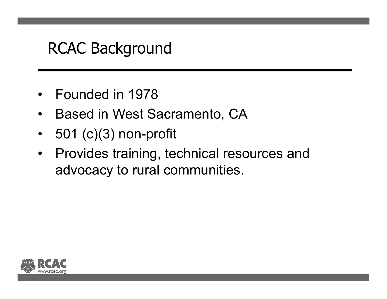- Founded in 1978
- $\bullet$ Based in West Sacramento, CA
- $\bullet$ 501 (c)(3) non-profit
- $\bullet$  Provides training, technical resources and advocacy to rural communities.

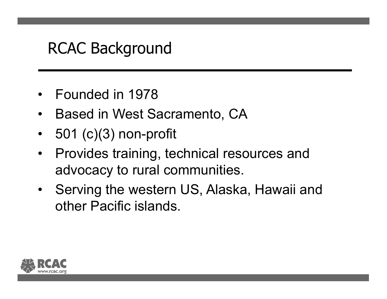- Founded in 1978
- $\bullet$ Based in West Sacramento, CA
- $\bullet$ 501 (c)(3) non-profit
- $\bullet$  Provides training, technical resources and advocacy to rural communities.
- Serving the western US, Alaska, Hawaii and other Pacific islands.

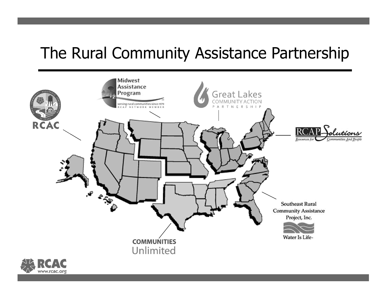### The Rural Community Assistance Partnership



www.rcac.org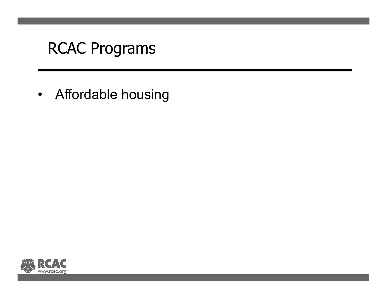• Affordable housing

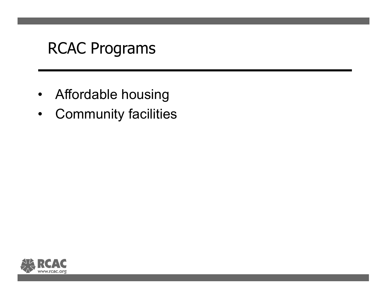- Affordable housing
- •Community facilities

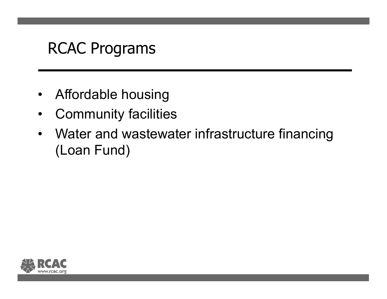- Affordable housing
- $\bullet$ Community facilities
- Water and wastewater infrastructure financing (Loan Fund)

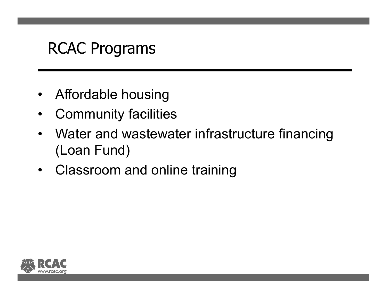- Affordable housing
- $\bullet$ Community facilities
- Water and wastewater infrastructure financing (Loan Fund)
- Classroom and online training

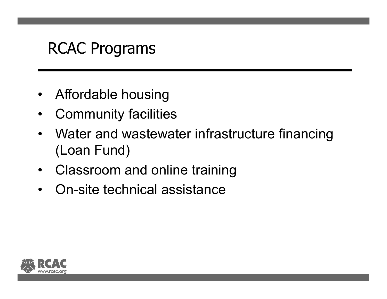- Affordable housing
- $\bullet$ Community facilities
- Water and wastewater infrastructure financing (Loan Fund)
- Classroom and online training
- On-site technical assistance

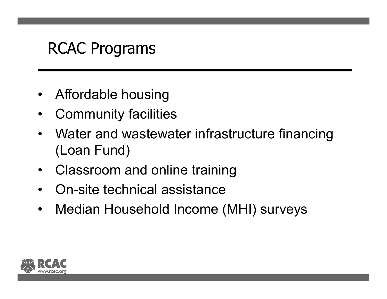- Affordable housing
- •Community facilities
- Water and wastewater infrastructure financing (Loan Fund)
- Classroom and online training
- On-site technical assistance
- $\bullet$ Median Household Income (MHI) surveys

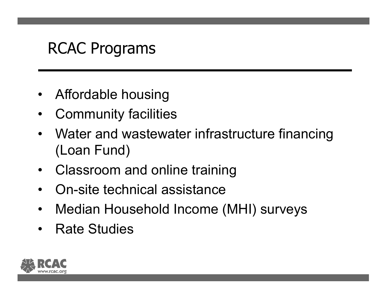- Affordable housing
- •Community facilities
- Water and wastewater infrastructure financing (Loan Fund)
- Classroom and online training
- •On-site technical assistance
- $\bullet$ Median Household Income (MHI) surveys
- Rate Studies